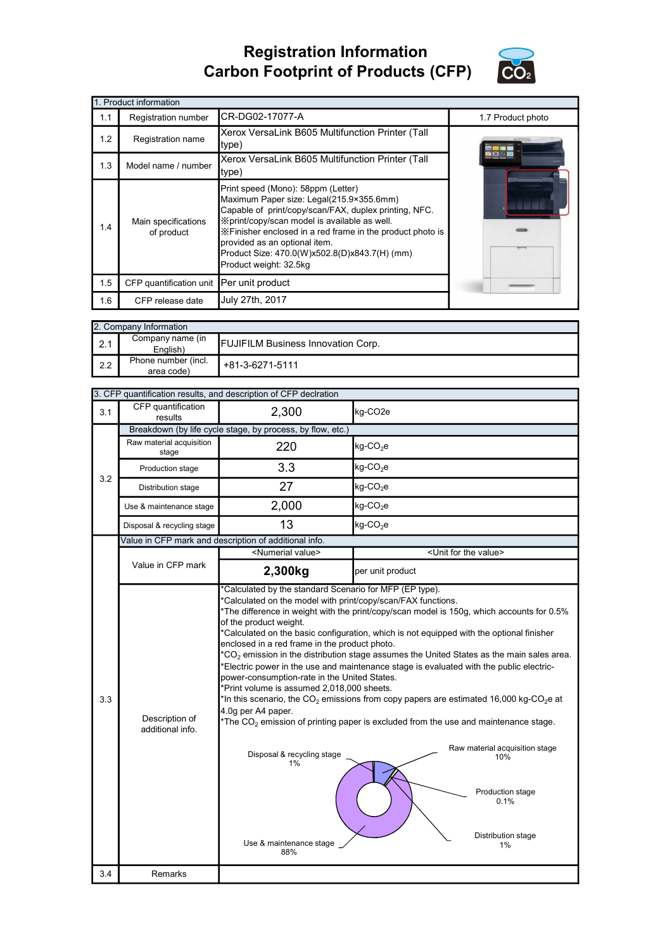## Registration Information Carbon Footprint of Products (CFP)



|     | 1. Product information            |                                                                                                                                                                                                                                                                                                                                                                   |                   |  |  |  |
|-----|-----------------------------------|-------------------------------------------------------------------------------------------------------------------------------------------------------------------------------------------------------------------------------------------------------------------------------------------------------------------------------------------------------------------|-------------------|--|--|--|
| 1.1 | Registration number               | CR-DG02-17077-A                                                                                                                                                                                                                                                                                                                                                   | 1.7 Product photo |  |  |  |
| 1.2 | Registration name                 | Xerox VersaLink B605 Multifunction Printer (Tall<br>type)                                                                                                                                                                                                                                                                                                         |                   |  |  |  |
| 1.3 | Model name / number               | Xerox VersaLink B605 Multifunction Printer (Tall<br>type)                                                                                                                                                                                                                                                                                                         |                   |  |  |  |
| 1.4 | Main specifications<br>of product | Print speed (Mono): 58ppm (Letter)<br>Maximum Paper size: Legal(215.9×355.6mm)<br>Capable of print/copy/scan/FAX, duplex printing, NFC.<br>Xprint/copy/scan model is available as well.<br>X Finisher enclosed in a red frame in the product photo is<br>provided as an optional item.<br>Product Size: 470.0(W)x502.8(D)x843.7(H) (mm)<br>Product weight: 32.5kg |                   |  |  |  |
| 1.5 | CFP quantification unit           | Per unit product                                                                                                                                                                                                                                                                                                                                                  |                   |  |  |  |
| 1.6 | CFP release date                  | July 27th, 2017                                                                                                                                                                                                                                                                                                                                                   |                   |  |  |  |

| 2. Company Information |                                                                           |                 |  |  |
|------------------------|---------------------------------------------------------------------------|-----------------|--|--|
| 2.1                    | Company name (in<br><b>FUJIFILM Business Innovation Corp.</b><br>English) |                 |  |  |
| 2.2                    | Phone number (incl.<br>area code)                                         | +81-3-6271-5111 |  |  |

|  |                    | 3. CFP quantification results, and description of CFP deciration |  |
|--|--------------------|------------------------------------------------------------------|--|
|  | CFP quantification | n nnn                                                            |  |

| 3.1 | CFP quantification<br>results      | 2,300                                                                                                                                                                                                                                                                                                                                | kg-CO2e                                                                                                                                                                                                                                                                                                                                                                                                                                                                                                                                                                                                                                                                                                            |  |  |
|-----|------------------------------------|--------------------------------------------------------------------------------------------------------------------------------------------------------------------------------------------------------------------------------------------------------------------------------------------------------------------------------------|--------------------------------------------------------------------------------------------------------------------------------------------------------------------------------------------------------------------------------------------------------------------------------------------------------------------------------------------------------------------------------------------------------------------------------------------------------------------------------------------------------------------------------------------------------------------------------------------------------------------------------------------------------------------------------------------------------------------|--|--|
|     |                                    | Breakdown (by life cycle stage, by process, by flow, etc.)                                                                                                                                                                                                                                                                           |                                                                                                                                                                                                                                                                                                                                                                                                                                                                                                                                                                                                                                                                                                                    |  |  |
|     | Raw material acquisition<br>stage  | 220                                                                                                                                                                                                                                                                                                                                  | $kg$ -CO <sub>2</sub> e                                                                                                                                                                                                                                                                                                                                                                                                                                                                                                                                                                                                                                                                                            |  |  |
| 3.2 | Production stage                   | 3.3                                                                                                                                                                                                                                                                                                                                  | $kg$ -CO <sub>2</sub> e                                                                                                                                                                                                                                                                                                                                                                                                                                                                                                                                                                                                                                                                                            |  |  |
|     | Distribution stage                 | 27                                                                                                                                                                                                                                                                                                                                   | $kg$ -CO <sub>2</sub> e                                                                                                                                                                                                                                                                                                                                                                                                                                                                                                                                                                                                                                                                                            |  |  |
|     | Use & maintenance stage            | 2,000                                                                                                                                                                                                                                                                                                                                | $kg$ -CO <sub>2</sub> e                                                                                                                                                                                                                                                                                                                                                                                                                                                                                                                                                                                                                                                                                            |  |  |
|     | Disposal & recycling stage         | 13                                                                                                                                                                                                                                                                                                                                   | $kg$ -CO <sub>2</sub> e                                                                                                                                                                                                                                                                                                                                                                                                                                                                                                                                                                                                                                                                                            |  |  |
|     |                                    | Value in CFP mark and description of additional info.                                                                                                                                                                                                                                                                                |                                                                                                                                                                                                                                                                                                                                                                                                                                                                                                                                                                                                                                                                                                                    |  |  |
|     |                                    | <numerial value=""></numerial>                                                                                                                                                                                                                                                                                                       | <unit for="" the="" value=""></unit>                                                                                                                                                                                                                                                                                                                                                                                                                                                                                                                                                                                                                                                                               |  |  |
|     | Value in CFP mark                  | 2,300kg                                                                                                                                                                                                                                                                                                                              | per unit product                                                                                                                                                                                                                                                                                                                                                                                                                                                                                                                                                                                                                                                                                                   |  |  |
| 3.3 | Description of<br>additional info. | *Calculated on the model with print/copy/scan/FAX functions.<br>of the product weight.<br>enclosed in a red frame in the product photo.<br>power-consumption-rate in the United States.<br>*Print volume is assumed 2,018,000 sheets.<br>4.0g per A4 paper.<br>Disposal & recycling stage<br>$1\%$<br>Use & maintenance stage<br>88% | *The difference in weight with the print/copy/scan model is 150g, which accounts for 0.5%<br>*Calculated on the basic configuration, which is not equipped with the optional finisher<br>$*$ CO <sub>2</sub> emission in the distribution stage assumes the United States as the main sales area.<br>*Electric power in the use and maintenance stage is evaluated with the public electric-<br>*In this scenario, the CO <sub>2</sub> emissions from copy papers are estimated 16,000 kg-CO <sub>2</sub> e at<br>*The CO <sub>2</sub> emission of printing paper is excluded from the use and maintenance stage.<br>Raw material acquisition stage<br>10%<br>Production stage<br>0.1%<br>Distribution stage<br>1% |  |  |
| 3.4 | Remarks                            |                                                                                                                                                                                                                                                                                                                                      |                                                                                                                                                                                                                                                                                                                                                                                                                                                                                                                                                                                                                                                                                                                    |  |  |